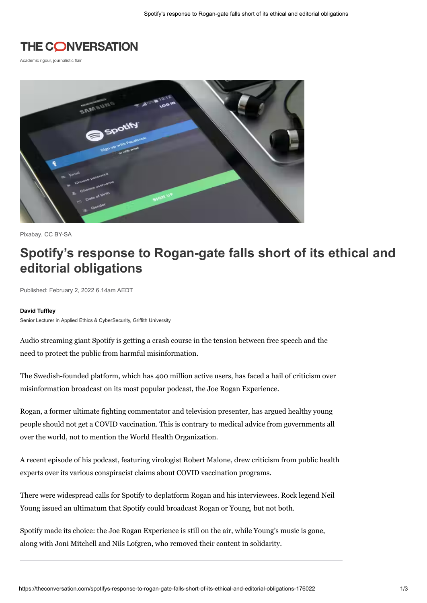

Academic rigour, journalistic flair



Pixabay, [CC BY-SA](http://creativecommons.org/licenses/by-sa/4.0/)

# **Spotify's response to Rogan-gate falls short of its ethical and editorial obligations**

Published: February 2, 2022 6.14am AEDT

#### **[David Tuffley](https://theconversation.com/profiles/david-tuffley-13731)**

Senior Lecturer in Applied Ethics & CyberSecurity, Griffith University

Audio streaming giant [Spotify](https://www.spotify.com/au/) is getting a crash course in the tension between free speech and the need to protect the public from harmful misinformation.

The Swedish-founded platform, which has 400 million active users, has faced a hail of criticism over misinformation broadcast on its [most popular podcast](https://variety.com/2021/digital/news/joe-rogan-experience-most-popular-podcast-news-roundup-1235123361/), the Joe Rogan Experience.

Rogan, a former ultimate fighting commentator and television presenter, has [argued](https://variety.com/2021/digital/news/joe-rogan-anti-vaccine-podcast-spotify-1234961803/) healthy young people should not get a COVID vaccination. This is contrary to medical advice from governments all over the world, not to mention the [World Health Organization.](https://www.who.int/emergencies/diseases/novel-coronavirus-2019/covid-19-vaccines/advice)

[A recent episode of his podcast, featuring virologist Robert Malone, drew criticism from public health](https://www.theguardian.com/technology/2022/jan/14/spotify-joe-rogan-podcast-open-letter)  experts over its various conspiracist claims about COVID vaccination programs.

There were widespread calls for Spotify to deplatform Rogan and his interviewees. Rock legend Neil Young issued an ultimatum that Spotify could broadcast Rogan or Young, but not both.

Spotify made its choice: the Joe Rogan Experience is still on the air, while Young's [music](https://www.theguardian.com/commentisfree/2022/jan/28/joe-rogan-neil-young-spotify-streaming-service) is gone, along with [Joni Mitchell](https://www.abc.net.au/news/2022-01-29/joni-mitchell-take-songs-off-spotify-solidarity-with-neil-young/100790200) and [Nils Lofgren](https://www.rollingstone.com/music/music-news/nils-lofgren-spotify-neil-young-1292480/), who removed their content in solidarity.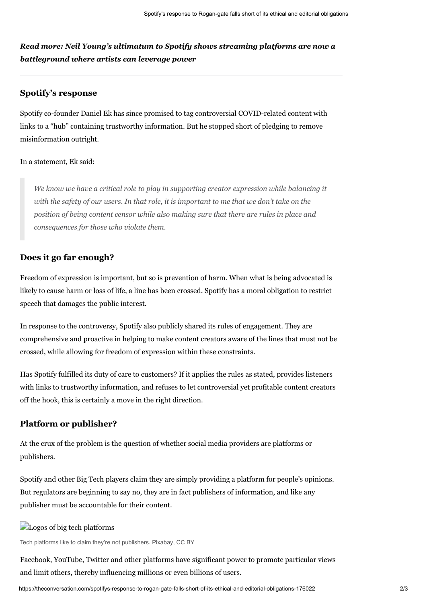*Read more: [Neil Young's ultimatum to Spotify shows streaming platforms are now a](https://theconversation.com/neil-youngs-ultimatum-to-spotify-shows-streaming-platforms-are-now-a-battleground-where-artists-can-leverage-power-175732)  battleground where artists can leverage power*

### **Spotify's response**

Spotify co-founder Daniel Ek has since [promised](https://newsroom.spotify.com/2022-01-30/spotifys-platform-rules-and-approach-to-covid-19/) to tag controversial COVID-related content with links to a "hub" containing trustworthy information. But he stopped short of pledging to remove misinformation outright.

#### In a statement, Ek [said](https://newsroom.spotify.com/2022-01-30/spotifys-platform-rules-and-approach-to-covid-19/):

*We know we have a critical role to play in supporting creator expression while balancing it with the safety of our users. In that role, it is important to me that we don't take on the position of being content censor while also making sure that there are rules in place and consequences for those who violate them.*

#### **Does it go far enough?**

Freedom of expression is important, but so is prevention of harm. When what is being advocated is likely to cause harm or loss of life, a line has been crossed. Spotify has a moral obligation to restrict speech that damages the public interest.

In response to the controversy, Spotify also publicly shared its [rules of engagement](https://newsroom.spotify.com/2022-01-30/spotify-platform-rules/). They are comprehensive and proactive in helping to make content creators aware of the lines that must not be crossed, while allowing for freedom of expression within these constraints.

Has Spotify fulfilled its duty of care to customers? If it applies the rules as stated, provides listeners with links to trustworthy information, and refuses to let controversial yet profitable content creators off the hook, this is certainly a move in the right direction.

#### **Platform or publisher?**

[At the crux of the problem is the question of whether social media providers are platforms or](https://socialmediahq.com/if-social-media-companies-are-publishers-and-not-platforms-that-changes-everything/)  publishers.

Spotify and other Big Tech players claim they are simply providing a platform for people's opinions. But [regulators](https://www.zdnet.com/article/scott-morrison-says-social-media-platforms-are-publishers-if-unwilling-to-identify-users/) are beginning to say no, they are in fact publishers of information, and like any publisher must be accountable for their content.

### **Logos** of big tech platforms

Tech platforms like to claim they're not publishers. Pixabay, [CC BY](http://creativecommons.org/licenses/by/4.0/)

Facebook, YouTube, Twitter and other platforms [have significant power](https://www.brookings.edu/blog/techtank/2021/06/01/addressing-big-techs-power-over-speech/) to promote particular views and limit others, thereby influencing millions or even [billions](https://www.statista.com/statistics/264810/number-of-monthly-active-facebook-users-worldwide/#:%7E:text=How%20many%20users%20does%20Facebook,the%20biggest%20social%20network%20worldwide.) of users.